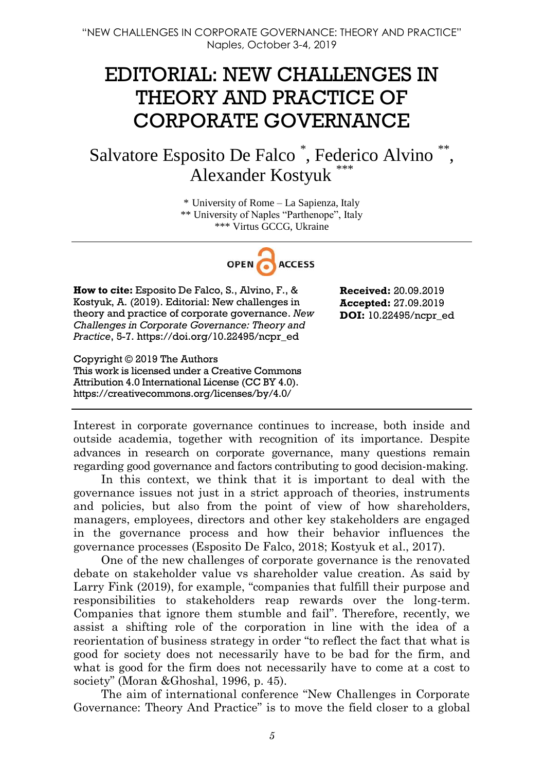## EDITORIAL: NEW CHALLENGES IN THEORY AND PRACTICE OF CORPORATE GOVERNANCE

Salvatore Esposito De Falco<sup>\*</sup>, Federico Alvino<sup>\*\*</sup>, Alexander Kostyuk \*\*\*

> \* University of Rome – La Sapienza, Italy \*\* University of Naples "Parthenope", Italy \*\*\* Virtus GCCG, Ukraine



**How to cite:** Esposito De Falco, S., Alvino, F., & Kostyuk, A. (2019). Editorial: New challenges in theory and practice of corporate governance. *New Challenges in Corporate Governance: Theory and Practice*, 5-7. https://doi.org/10.22495/ncpr\_ed

Copyright © 2019 The Authors This work is licensed under a Creative Commons Attribution 4.0 International License (CC BY 4.0). https://creativecommons.org/licenses/by/4.0/

**Received:** 20.09.2019 **Accepted:** 27.09.2019 **DOI:** 10.22495/ncpr\_ed

Interest in corporate governance continues to increase, both inside and outside academia, together with recognition of its importance. Despite advances in research on corporate governance, many questions remain regarding good governance and factors contributing to good decision-making.

In this context, we think that it is important to deal with the governance issues not just in a strict approach of theories, instruments and policies, but also from the point of view of how shareholders, managers, employees, directors and other key stakeholders are engaged in the governance process and how their behavior influences the governance processes (Esposito De Falco, 2018; Kostyuk et al., 2017).

One of the new challenges of corporate governance is the renovated debate on stakeholder value vs shareholder value creation. As said by Larry Fink (2019), for example, "companies that fulfill their purpose and responsibilities to stakeholders reap rewards over the long-term. Companies that ignore them stumble and fail". Therefore, recently, we assist a shifting role of the corporation in line with the idea of a reorientation of business strategy in order "to reflect the fact that what is good for society does not necessarily have to be bad for the firm, and what is good for the firm does not necessarily have to come at a cost to society" (Moran &Ghoshal, 1996, p. 45).

The aim of international conference "New Challenges in Corporate Governance: Theory And Practice" is to move the field closer to a global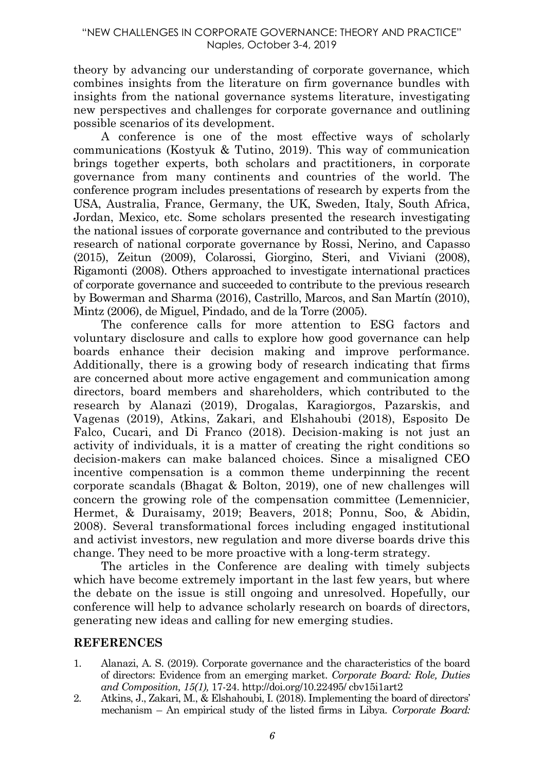theory by advancing our understanding of corporate governance, which combines insights from the literature on firm governance bundles with insights from the national governance systems literature, investigating new perspectives and challenges for corporate governance and outlining possible scenarios of its development.

A conference is one of the most effective ways of scholarly communications (Kostyuk & Tutino, 2019). This way of communication brings together experts, both scholars and practitioners, in corporate governance from many continents and countries of the world. The conference program includes presentations of research by experts from the USA, Australia, France, Germany, the UK, Sweden, Italy, South Africa, Jordan, Mexico, etc. Some scholars presented the research investigating the national issues of corporate governance and contributed to the previous research of national corporate governance by Rossi, Nerino, and Capasso (2015), Zeitun (2009), Colarossi, Giorgino, Steri, and Viviani (2008), Rigamonti (2008). Others approached to investigate international practices of corporate governance and succeeded to contribute to the previous research by Bowerman and Sharma (2016), Castrillo, Marcos, and San Martín (2010), Mintz (2006), de Miguel, Pindado, and de la Torre (2005).

The conference calls for more attention to ESG factors and voluntary disclosure and calls to explore how good governance can help boards enhance their decision making and improve performance. Additionally, there is a growing body of research indicating that firms are concerned about more active engagement and communication among directors, board members and shareholders, which contributed to the research by Alanazi (2019), Drogalas, Karagiorgos, Pazarskis, and Vagenas (2019), Atkins, Zakari, and Elshahoubi (2018), Esposito De Falco, Cucari, and Di Franco (2018). Decision-making is not just an activity of individuals, it is a matter of creating the right conditions so decision-makers can make balanced choices. Since a misaligned CEO incentive compensation is a common theme underpinning the recent corporate scandals (Bhagat & Bolton, 2019), one of new challenges will concern the growing role of the compensation committee (Lemennicier, Hermet, & Duraisamy, 2019; Beavers, 2018; Ponnu, Soo, & Abidin, 2008). Several transformational forces including engaged institutional and activist investors, new regulation and more diverse boards drive this change. They need to be more proactive with a long-term strategy.

The articles in the Conference are dealing with timely subjects which have become extremely important in the last few years, but where the debate on the issue is still ongoing and unresolved. Hopefully, our conference will help to advance scholarly research on boards of directors, generating new ideas and calling for new emerging studies.

## **REFERENCES**

- 1. Alanazi, A. S. (2019). Corporate governance and the characteristics of the board of directors: Evidence from an emerging market. *Corporate Board: Role, Duties and Composition, 15(1),* 17-24. [http://doi.org/10.22495/ cbv15i1art2](http://doi.org/10.22495/%20cbv15i1art2)
- 2. Atkins, J., Zakari, M., & Elshahoubi, I. (2018). Implementing the board of directors' mechanism – An empirical study of the listed firms in Libya. *Corporate Board:*